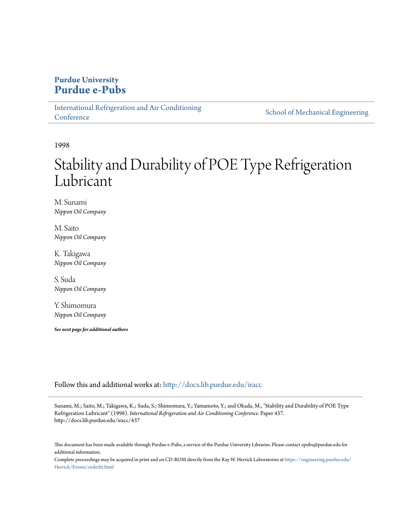## **Purdue University [Purdue e-Pubs](http://docs.lib.purdue.edu?utm_source=docs.lib.purdue.edu%2Firacc%2F437&utm_medium=PDF&utm_campaign=PDFCoverPages)**

[International Refrigeration and Air Conditioning](http://docs.lib.purdue.edu/iracc?utm_source=docs.lib.purdue.edu%2Firacc%2F437&utm_medium=PDF&utm_campaign=PDFCoverPages) **[Conference](http://docs.lib.purdue.edu/iracc?utm_source=docs.lib.purdue.edu%2Firacc%2F437&utm_medium=PDF&utm_campaign=PDFCoverPages)** 

[School of Mechanical Engineering](http://docs.lib.purdue.edu/me?utm_source=docs.lib.purdue.edu%2Firacc%2F437&utm_medium=PDF&utm_campaign=PDFCoverPages)

1998

# Stability and Durability of POE Type Refrigeration Lubricant

M. Sunami *Nippon Oil Company*

M. Saito *Nippon Oil Company*

K. Takigawa *Nippon Oil Company*

S. Suda *Nippon Oil Company*

Y. Shimomura *Nippon Oil Company*

*See next page for additional authors*

Follow this and additional works at: [http://docs.lib.purdue.edu/iracc](http://docs.lib.purdue.edu/iracc?utm_source=docs.lib.purdue.edu%2Firacc%2F437&utm_medium=PDF&utm_campaign=PDFCoverPages)

Sunami, M.; Saito, M.; Takigawa, K.; Suda, S.; Shimomura, Y.; Yamamoto, Y.; and Okada, M., "Stability and Durability of POE Type Refrigeration Lubricant" (1998). *International Refrigeration and Air Conditioning Conference.* Paper 437. http://docs.lib.purdue.edu/iracc/437

This document has been made available through Purdue e-Pubs, a service of the Purdue University Libraries. Please contact epubs@purdue.edu for additional information.

Complete proceedings may be acquired in print and on CD-ROM directly from the Ray W. Herrick Laboratories at [https://engineering.purdue.edu/](https://engineering.purdue.edu/Herrick/Events/orderlit.html) [Herrick/Events/orderlit.html](https://engineering.purdue.edu/Herrick/Events/orderlit.html)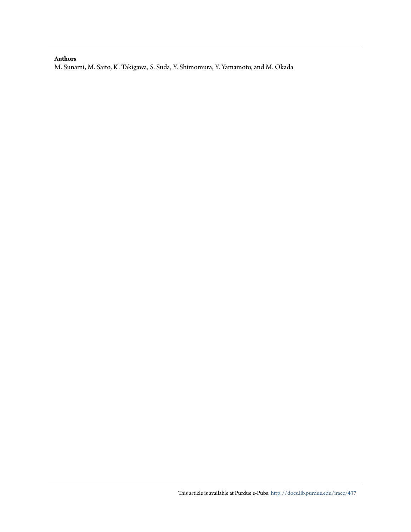#### **Authors**

M. Sunami, M. Saito, K. Takigawa, S. Suda, Y. Shimomura, Y. Yamamoto, and M. Okada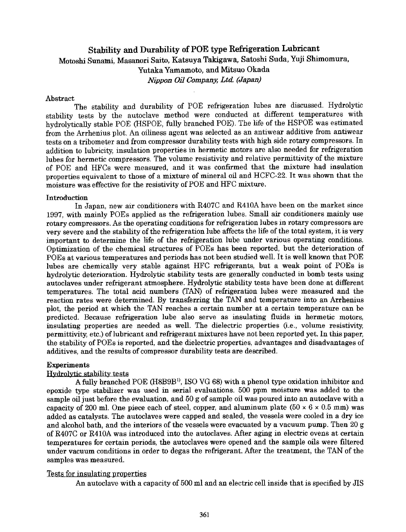## Stability and Durability of POE type Refrigeration Lubricant Motoshi Sunami, Masanori Saito, Katsuya Takigawa, Satoshi Suda, Yuji Shimomura, Yutaka Yamamoto, and Mitsuo Okada *Nippon Oil Company, Ltd (Japan)*

#### Abstract

The stability and durability of POE refrigeration lubes are discussed. Hydrolytic stability tests by the autoclave method were conducted at different temperatures with hydrolytically stable POE (HSPOE, fully branched POE). The life of the HSPOE was estimated from the Arrhenius plot. An oiliness agent was selected as an antiwear additive from antiwear tests on a tribometer and from compressor durability tests with high side rotary compressors. In addition to lubricity, insulation properties in hermetic motors are also needed for refrigeration lubes for hermetic compressors. The volume resistivity and relative permittivity of the mixture of POE and HFCs were measured, and it was confirmed that the mixture had insulation properties equivalent to those of a mixture of mineral oil and HCFC-22. It was shown that the moisture was effective for the resistivity of POE and HFC mixture.

#### Introduction

In Japan, new air conditioners with R407C and R410A have been on the market since 1997, with mainly FOEs applied as the refrigeration lubes. Small air conditioners mainly use rotary compressors. As the operating conditions for refrigeration lubes in rotary compressors are very severe and the stability of the refrigeration lube affects the life of the total system, it is very important to determine the life of the refrigeration lube under various operating conditions. Optimization of the chemical structures of POEs has been reported, but the deterioration of FOEs at various temperatures and periods has not been studied well. It is well known that POE lubes are chemically very stable against HFC refrigerants, but a weak point of FOEs is hydrolytic deterioration. Hydrolytic stability tests are generally conducted in bomb tests using autoclaves under refrigerant atmosphere. Hydrolytic stability tests have been done at different temperatures. The total acid numbers (TAN) of refrigeration lubes were measured and the reaction rates were determined. By transferring the TAN and temperature into an Arrhenius <sup>p</sup>lot, the period at which the TAN reaches a certain number at a certain temperature can be predicted. Because refrigeration lube also serve as insulating fluids in hermetic motors, insulating properties are needed as well. The dielectric properties (i.e., volume resistivity, permittivity, etc.) of lubricant and refrigerant mixtures have not been reported yet. In this paper, the stability of FOEs is reported, and the dielectric properties, advantages and disadvantages of additives, and the results of compressor durability tests are described.

#### Experiments

#### Hydrolytic stability tests

A fully branched POE (H8B9B<sup>1)</sup>, ISO VG 68) with a phenol type oxidation inhibitor and epoxide type stabilizer was used in serial evaluations. 500 ppm moisture was added to the sample oil just before the evaluation, and 50 g of sample oil was poured into an autoclave with a capacity of 200 ml. One piece each of steel, copper, and aluminum plate  $(50 \times 6 \times 0.5 \text{ mm})$  was added as catalysts. The autoclaves were capped and sealed, the vessels were cooled in a dry ice and alcohol bath, and the interiors of the vessels were evacuated by a vacuum pump. Then 20 g of R407C or R410A was introduced into the autoclaves. After aging in electric ovens at certain temperatures for certain periods, the autoclaves were opened and the sample oils were filtered under vacuum conditions in order to degas the refrigerant. After the treatment, the TAN of the samples was measured.

#### Tests for insulating properties

An autoclave with a capacity of 500 ml and an electric cell inside that is specified by JIS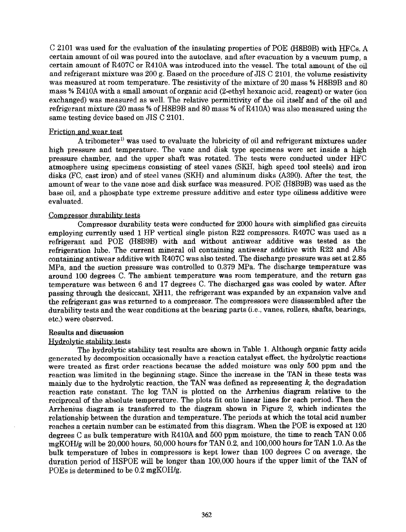C 2101 was used for the evaluation of the insulating properties of POE (H8B9B) with HFCs. A certain amount of oil was poured into the autoclave, and after evacuation by a vacuum pump, a certain amount of R407C or R410A was introduced into the vessel. The total amount of the oil and refrigerant mixture was 200 g. Based on the procedure of JIS C 2101, the volume resistivity was measured at room temperature. The resistivity of the mixture of 20 mass % H8B9B and 80 mass % R410A with a small amount of organic acid (2-ethyl hexanoic acid, reagent) or water (ion exchanged) was measured as well. The relative permittivity of the oil itself and of the oil and refrigerant mixture (20 mass% ofH8B9B and 80 mass% ofR410A) was also measured using the same testing device based on JIS C 2101.

#### Friction and wear test

A tribometer<sup>1)</sup> was used to evaluate the lubricity of oil and refrigerant mixtures under high pressure and temperature. The vane and disk type specimens were set inside a high pressure chamber, and the upper shaft was rotated. The tests were conducted under HFC atmosphere using specimens consisting of steel vanes (SKH, high speed tool steels) and iron disks (FC, cast iron) and of steel vanes (SKH) and aluminum disks (A390). Mter the test, the amount of wear to the vane nose and disk surface was measured. POE (H8B9B) was used as the base oil, and a phosphate type extreme pressure additive and ester type oiliness additive were evaluated.

#### Compressor durability tests

Compressor durability tests were conducted for 2000 hours with simplified gas circuits employing currently used 1 HP vertical single piston R22 compressors. R407C was used as <sup>a</sup> refrigerant and POE (H8B9B) with and without antiwear additive was tested as the refrigeration lube. The current mineral oil containing antiwear additive with R22 and ABs containing antiwear additive with R407C was also tested. The discharge pressure was set at 2.85 MPa, and the suction pressure was controlled to 0.379 MPa. The discharge temperature was around 100 degrees C. The ambient temperature was room temperature, and the return gas temperature was between 6 and 17 degrees C. The discharged gas was cooled by water. After passing through the desiccant, XHll, the refrigerant was expanded by an expansion valve and the refrigerant gas was returned to a compressor. The compressors were disassembled after the durability tests and the wear conditions at the bearing parts (i.e., vanes, rollers, shafts, bearings, etc.) were observed.

#### Results and discussion

#### Hydrolytic stability tests

The hydrolytic stability test results are shown in Table 1. Although organic fatty acids generated by decomposition occasionally have a reaction catalyst effect, the hydrolytic reactions were treated as first order reactions because the added moisture was only 500 ppm and the reaction was limited in the beginning stage. Since the increase in the TAN in these tests was mainly due to the hydrolytic reaction, the TAN was defined as representing  $k$ , the degradation reaction rate constant. The log TAN is plotted on the Arrhenius diagram relative to the reciprocal of the absolute temperature. The plots fit onto linear lines for each period. Then the Arrhenius diagram is transferred to the diagram shown in Figure 2, which indicates the relationship between the duration and temperature. The periods at which the total acid number reaches a certain number can be estimated from this diagram. When the POE is exposed at 120 degrees Cas bulk temperature with R410A and 500 ppm moisture, the time to reach TAN 0.05 mgKOH/g will be 20,000 hours, 50,000 hours for TAN 0.2, and 100,000 hours for TAN 1.0. As the bulk temperature of lubes in compressors is kept lower than 100 degrees C on average, the duration period of HSPOE will be longer than 100,000 hours if the upper limit of the TAN of POEs is determined to be 0.2 mgKOH/g.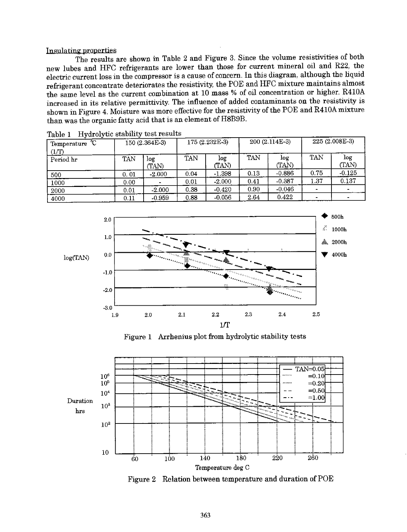#### Insulating properties

The results are shown in Table 2 and Figure 3. Since the volume resistivities of both new lubes and HFC refrigerants are lower than those for current mineral oil and R22, the electric current loss in the compressor is a cause of concern. In this diagram, although the liquid refrigerant concentrate deteriorates the resistivity, the POE and HFC mixture maintains almost the same level as the current combination at 10 mass% of oil concentration or higher. R410A increased in its relative permittivity. The influence of added contaminants on the resistivity is shown in Figure 4. Moisture was more effective for the resistivity of the POE and R410Amixture than was the organic fatty acid that is an element of H8B9B.

| tuviv 1<br>°C<br>Temperature | $\frac{1}{2}$ $\frac{1}{2}$ $\frac{1}{2}$ $\frac{1}{2}$ $\frac{1}{2}$ $\frac{1}{2}$ $\frac{1}{2}$ $\frac{1}{2}$ $\frac{1}{2}$ $\frac{1}{2}$ $\frac{1}{2}$ $\frac{1}{2}$ $\frac{1}{2}$ $\frac{1}{2}$ $\frac{1}{2}$ $\frac{1}{2}$ $\frac{1}{2}$ $\frac{1}{2}$ $\frac{1}{2}$ $\frac{1}{2}$ $\frac{1}{2}$ $\frac{1}{2}$<br>150 (2.364E-3) |              | 175 (2.232E-3) |              | $200(2.114E-3)$ |              | 225 (2.008E-3) |              |
|------------------------------|---------------------------------------------------------------------------------------------------------------------------------------------------------------------------------------------------------------------------------------------------------------------------------------------------------------------------------------|--------------|----------------|--------------|-----------------|--------------|----------------|--------------|
| (1/T)<br>Period hr           | TAN                                                                                                                                                                                                                                                                                                                                   | log<br>(TAN) | TAN            | log<br>(TAN) | <b>TAN</b>      | log<br>(TAN) | TAN            | log<br>(TAN) |
| 500                          | 0.01                                                                                                                                                                                                                                                                                                                                  | $-2.000$     | 0.04           | $-1.398$     | 0.13            | $-0.886$     | 0.75           | $-0.125$     |
| 1000                         | 0.00                                                                                                                                                                                                                                                                                                                                  |              | 0.01           | $-2.000$     | 0.41            | $-0.387$     | 1.37           | 0.137        |
| 2000                         | 0.01                                                                                                                                                                                                                                                                                                                                  | $-2.000$     | 0.38           | $-0.420$     | 0.90            | $-0.046$     |                |              |
| 4000                         | 0.11                                                                                                                                                                                                                                                                                                                                  | $-0.959$     | 0.88           | $-0.056$     | 2.64            | 0.422        |                |              |

| Table 1 | Hydrolytic stability test results |  |  |
|---------|-----------------------------------|--|--|
|         |                                   |  |  |



Figure 1 Arrhenius plot from hydrolytic stability tests



Figure 2 Relation between temperature and duration of POE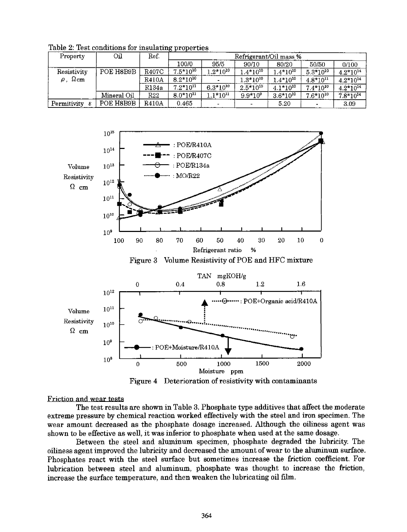| Property         | Оil         | Ref.       | Refrigerant/Oil mass % |               |               |               |               |               |
|------------------|-------------|------------|------------------------|---------------|---------------|---------------|---------------|---------------|
|                  |             |            | 100/0                  | 95/5          | 90/10         | 80/20         | 50/50         | 0/100         |
| Resistivity      | POE H8B9B   | R407C      | $7.5*10^{10}$          | $1.2*10^{10}$ | $1.4*10^{10}$ | $1.4*10^{10}$ | $5.3*10^{10}$ | $4.2*10^{14}$ |
| $\Omega$ cm<br>ρ |             | R410A      | $8.2*10^{10}$          |               | $1.3*10^{10}$ | $1.4*10^{10}$ | $4.8*10^{11}$ | $4.2*10^{14}$ |
|                  |             | R134a      | $7.2*10^{11}$          | $6.3*10^{10}$ | $2.5*10^{10}$ | $4.1*10^{10}$ | $7.4*10^{10}$ | $4.2*10^{14}$ |
|                  | Mineral Oil | <b>R22</b> | $8.0*10^{11}$          | $1.1*10^{11}$ | $9.9*10^{9}$  | $3.6*10^{10}$ | $7.6*10^{10}$ | $7.8*10^{14}$ |
| Permitivity      | POE H8B9B   | R410A      | 0.465                  |               |               | 5.20          |               | 3.09          |

Table 2: Test conditions for insulating properties



Figure 4 Deterioration of resistivity with contaminants

Friction and wear tests

The test results are shown in Table 3. Phosphate type additives that affect the moderate extreme pressure by chemical reaction worked effectively with the steel and iron specimen. The wear amount decreased as the phosphate dosage increased. Although the oiliness agent was shown to be effective as well, it was inferior to phosphate when used at the same dosage.

Between the steel and aluminum specimen, phosphate degraded the lubricity. The oiliness agent improved the lubricity and decreased the amount of wear to the aluminum surface. Phosphates react with the steel surface but sometimes increase the friction coefficient. For lubrication between steel and aluminum, phosphate was thought to increase the friction, increase the surface temperature, and then weaken the lubricating oil film.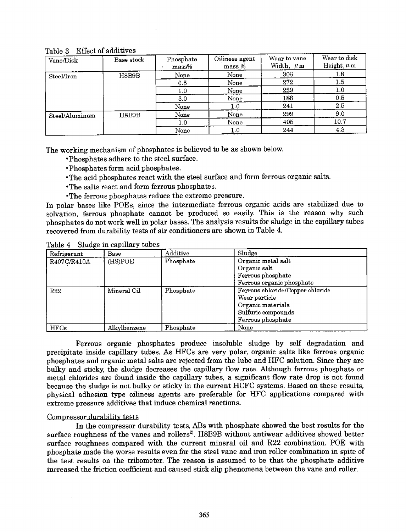Table 3 Effect of additives

| Vane/Disk      | Base stock | Phosphate<br>$_{mass\%}$ | Oiliness agent<br>mass % | Wear to vane<br>Width, $\mu$ m | Wear to disk<br>Height, $\mu$ m |
|----------------|------------|--------------------------|--------------------------|--------------------------------|---------------------------------|
| Steel/Iron     | H8B9B      | None                     | None                     | 306                            | 1.8                             |
|                |            | 0.5                      | None                     | 272                            | 1.5                             |
|                |            | 1.0                      | None                     | 229                            | $_{\rm 1.0}$                    |
|                |            | $3.0\,$                  | None                     | 188                            | 0.5                             |
|                |            | None                     | 1.0                      | 241                            | 2.5                             |
| Steel/Aluminum | H8B9B      | None                     | None                     | 299                            | 9.0                             |
|                |            | $1.0\,$                  | None                     | 405                            | 10.7                            |
|                |            | None                     | $1.0\,$                  | 244                            | 4.3                             |

The working mechanism of phosphates is believed to be as shown below.

- Phosphates adhere to the steel surface.
- Phosphates form acid phosphates.
- •The acid phosphates react with the steel surface and form ferrous organic salts.
- •The salts react and form ferrous phosphates.
- •The ferrous phosphates reduce the extreme pressure.

In polar bases like POEs, since the intermediate ferrous organic acids are stabilized due to solvation, ferrous phosphate cannot be produced so easily. This is the reason why such <sup>p</sup>hosphates do not work well in polar bases. The analysis results for sludge in the capillary tubes recovered from durability tests of air conditioners are shown in Table 4.

Table 4 Sludge in capillary tubes

| Refrigerant | Base         | Additive  | Sludge                           |
|-------------|--------------|-----------|----------------------------------|
| R407C/R410A | (HS)POE      | Phosphate | Organic metal salt               |
|             |              |           | Organic salt                     |
|             |              |           | Ferrous phosphate                |
|             |              |           | Ferrous organic phosphate        |
| <b>P22</b>  | Mineral Oil  | Phosphate | Ferrous chloride/Copper chloride |
|             |              |           | Wear particle                    |
|             |              |           | Organic materials                |
|             |              |           | Sulfuric compounds               |
|             |              |           | Ferrous phosphate                |
| <b>HFCs</b> | Alkylbenzene | Phosphate | None                             |

Ferrous organic phosphates produce insoluble sludge by self degradation and precipitate inside capillary tubes. As HFCs are very polar, organic salts like ferrous organic <sup>p</sup>hosphates and organic metal salts are rejected from the lube and HFC solution. Since they are bulky and sticky, the sludge decreases the capillary flow rate. Although ferrous phosphate or metal chlorides are found inside the capillary tubes, a significant flow rate drop is not found because the sludge is not bulky or sticky in the current HCFC systems. Based on these results, <sup>p</sup>hysical adhesion type oiliness agents are preferable for HFC applications compared with extreme pressure additives that induce chemical reactions.

#### Compressor durability tests

In the compressor durability tests, ABs with phosphate showed the best results for the surface roughness of the vanes and rollers<sup>2</sup>. H8B9B without antiwear additives showed better surface roughness compared with the current mineral oil and R22 combination. POE with <sup>p</sup>hosphate made the worse results even for the steel vane and iron roller combination in spite of the test results on the tribometer. The reason is assumed to be that the phosphate additive increased the friction coefficient and caused stick slip phenomena between the vane and roller.